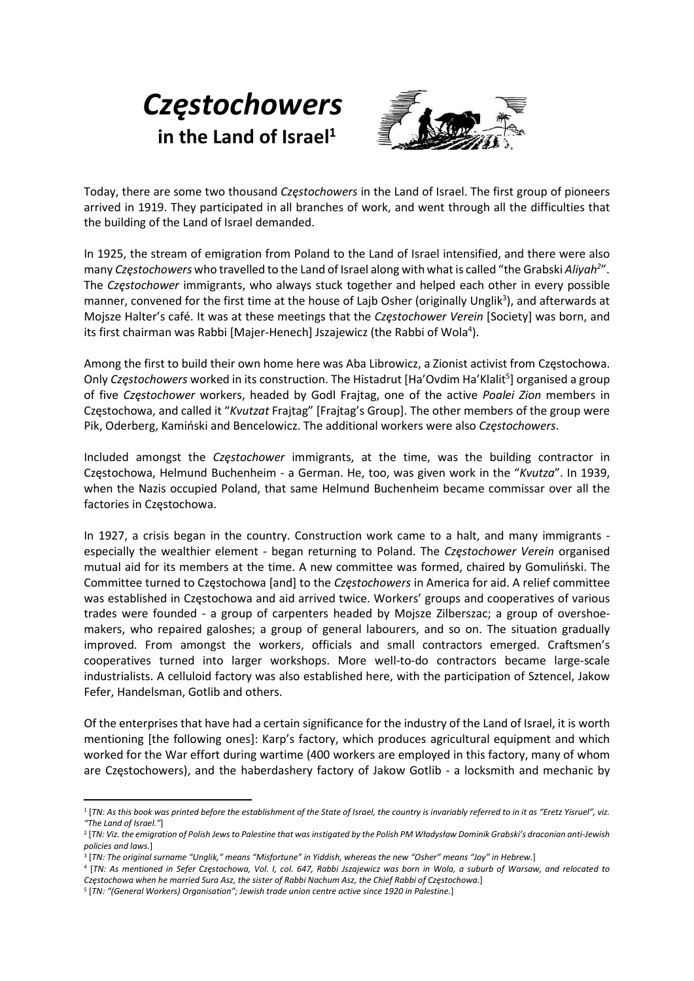## **Częstochowers** in the Land of Israel $1$



Today, there are some two thousand Częstochowers in the Land of Israel. The first group of pioneers arrived in 1919. They participated in all branches of work, and went through all the difficulties that the building of the Land of Israel demanded.

In 1925, the stream of emigration from Poland to the Land of Israel intensified, and there were also many Częstochowers who travelled to the Land of Israel along with what is called "the Grabski Aliyah<sup>2</sup>". The Częstochower immigrants, who always stuck together and helped each other in every possible manner, convened for the first time at the house of Lajb Osher (originally Unglik<sup>3</sup>), and afterwards at Mojsze Halter's café. It was at these meetings that the *Czestochower Verein* [Society] was born, and its first chairman was Rabbi [Majer-Henech] Jszajewicz (the Rabbi of Wola<sup>4</sup>).

Among the first to build their own home here was Aba Librowicz, a Zionist activist from Częstochowa. Only Częstochowers worked in its construction. The Histadrut [Ha'Ovdim Ha'Klalit<sup>5</sup>] organised a group of five Częstochower workers, headed by Godl Frajtag, one of the active Poalei Zion members in Częstochowa, and called it "Kvutzat Frajtag" [Frajtag's Group]. The other members of the group were Pik, Oderberg, Kamiński and Bencelowicz. The additional workers were also Częstochowers.

Included amongst the Częstochower immigrants, at the time, was the building contractor in Częstochowa, Helmund Buchenheim - a German. He, too, was given work in the "Kvutza". In 1939, when the Nazis occupied Poland, that same Helmund Buchenheim became commissar over all the factories in Częstochowa.

In 1927, a crisis began in the country. Construction work came to a halt, and many immigrants especially the wealthier element - began returning to Poland. The Częstochower Verein organised mutual aid for its members at the time. A new committee was formed, chaired by Gomuliński. The Committee turned to Częstochowa [and] to the Częstochowers in America for aid. A relief committee was established in Częstochowa and aid arrived twice. Workers' groups and cooperatives of various trades were founded - a group of carpenters headed by Mojsze Zilberszac; a group of overshoemakers, who repaired galoshes; a group of general labourers, and so on. The situation gradually improved. From amongst the workers, officials and small contractors emerged. Craftsmen's cooperatives turned into larger workshops. More well-to-do contractors became large-scale industrialists. A celluloid factory was also established here, with the participation of Sztencel, Jakow Fefer, Handelsman, Gotlib and others.

Of the enterprises that have had a certain significance for the industry of the Land of Israel, it is worth mentioning [the following ones]: Karp's factory, which produces agricultural equipment and which worked for the War effort during wartime (400 workers are employed in this factory, many of whom are Częstochowers), and the haberdashery factory of Jakow Gotlib - a locksmith and mechanic by

<sup>1</sup> [TN: As this book was printed before the establishment of the State of Israel, the country is invariably referred to in it as "Eretz Yisruel", viz. "The Land of Israel."]

<sup>2</sup> [TN: Viz. the emigration of Polish Jews to Palestine that was instigated by the Polish PM Władysław Dominik Grabski's draconian anti-Jewish policies and laws.]

<sup>3</sup> [TN: The original surname "Unglik," means "Misfortune" in Yiddish, whereas the new "Osher" means "Joy" in Hebrew.]

<sup>4</sup> [TN: As mentioned in Sefer Częstochowa, Vol. I, col. 647, Rabbi Jszajewicz was born in Wola, a suburb of Warsaw, and relocated to Częstochowa when he married Sura Asz, the sister of Rabbi Nachum Asz, the Chief Rabbi of Częstochowa.]

<sup>5</sup> [TN: "(General Workers) Organisation"; Jewish trade union centre active since 1920 in Palestine.]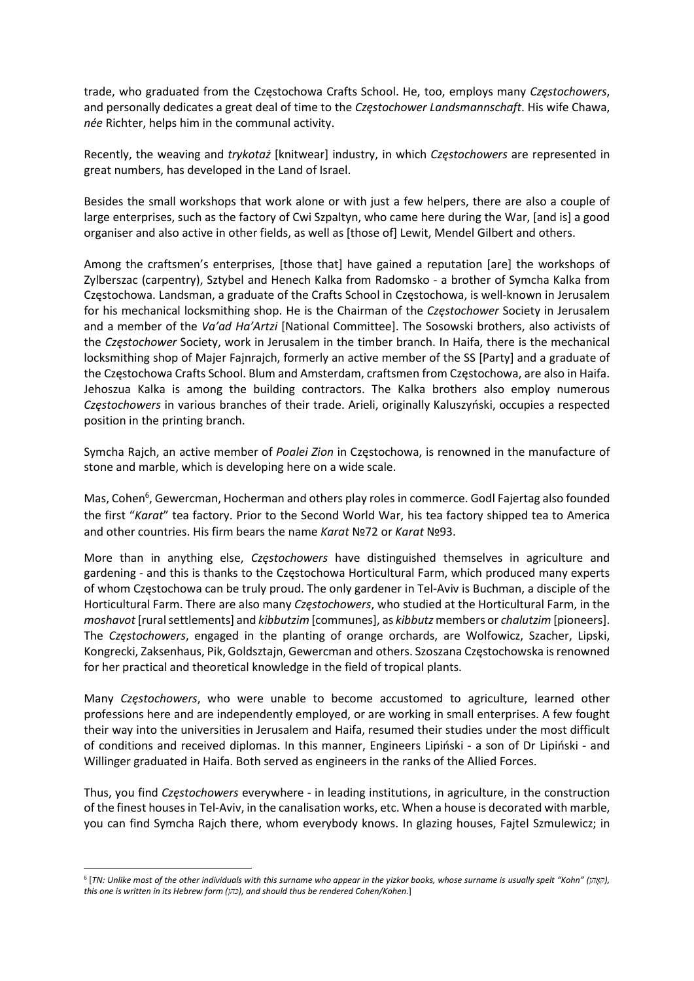trade, who graduated from the Częstochowa Crafts School. He, too, employs many Częstochowers, and personally dedicates a great deal of time to the Częstochower Landsmannschaft. His wife Chawa, née Richter, helps him in the communal activity.

Recently, the weaving and trykotaż [knitwear] industry, in which Częstochowers are represented in great numbers, has developed in the Land of Israel.

Besides the small workshops that work alone or with just a few helpers, there are also a couple of large enterprises, such as the factory of Cwi Szpaltyn, who came here during the War, [and is] a good organiser and also active in other fields, as well as [those of] Lewit, Mendel Gilbert and others.

Among the craftsmen's enterprises, [those that] have gained a reputation [are] the workshops of Zylberszac (carpentry), Sztybel and Henech Kalka from Radomsko - a brother of Symcha Kalka from Częstochowa. Landsman, a graduate of the Crafts School in Częstochowa, is well-known in Jerusalem for his mechanical locksmithing shop. He is the Chairman of the Częstochower Society in Jerusalem and a member of the Va'ad Ha'Artzi [National Committee]. The Sosowski brothers, also activists of the Częstochower Society, work in Jerusalem in the timber branch. In Haifa, there is the mechanical locksmithing shop of Majer Fajnrajch, formerly an active member of the SS [Party] and a graduate of the Częstochowa Crafts School. Blum and Amsterdam, craftsmen from Częstochowa, are also in Haifa. Jehoszua Kalka is among the building contractors. The Kalka brothers also employ numerous Częstochowers in various branches of their trade. Arieli, originally Kaluszyński, occupies a respected position in the printing branch.

Symcha Rajch, an active member of Poalei Zion in Częstochowa, is renowned in the manufacture of stone and marble, which is developing here on a wide scale.

Mas, Cohen<sup>6</sup>, Gewercman, Hocherman and others play roles in commerce. Godl Fajertag also founded the first "Karat" tea factory. Prior to the Second World War, his tea factory shipped tea to America and other countries. His firm bears the name Karat №72 or Karat №93.

More than in anything else, Częstochowers have distinguished themselves in agriculture and gardening - and this is thanks to the Częstochowa Horticultural Farm, which produced many experts of whom Częstochowa can be truly proud. The only gardener in Tel-Aviv is Buchman, a disciple of the Horticultural Farm. There are also many Częstochowers, who studied at the Horticultural Farm, in the moshavot [rural settlements] and kibbutzim [communes], as kibbutz members or chalutzim [pioneers]. The Częstochowers, engaged in the planting of orange orchards, are Wolfowicz, Szacher, Lipski, Kongrecki, Zaksenhaus, Pik, Goldsztajn, Gewercman and others. Szoszana Częstochowska is renowned for her practical and theoretical knowledge in the field of tropical plants.

Many Częstochowers, who were unable to become accustomed to agriculture, learned other professions here and are independently employed, or are working in small enterprises. A few fought their way into the universities in Jerusalem and Haifa, resumed their studies under the most difficult of conditions and received diplomas. In this manner, Engineers Lipiński - a son of Dr Lipiński - and Willinger graduated in Haifa. Both served as engineers in the ranks of the Allied Forces.

Thus, you find Częstochowers everywhere - in leading institutions, in agriculture, in the construction of the finest houses in Tel-Aviv, in the canalisation works, etc. When a house is decorated with marble, you can find Symcha Rajch there, whom everybody knows. In glazing houses, Fajtel Szmulewicz; in

<sup>&</sup>lt;sup>6</sup> [TN: Unlike most of the other individuals with this surname who appear in the yizkor books, whose surname is usually spelt "Kohn" (קאָהן, this one is written in its Hebrew form (כהן), and should thus be rendered Cohen/Kohen.]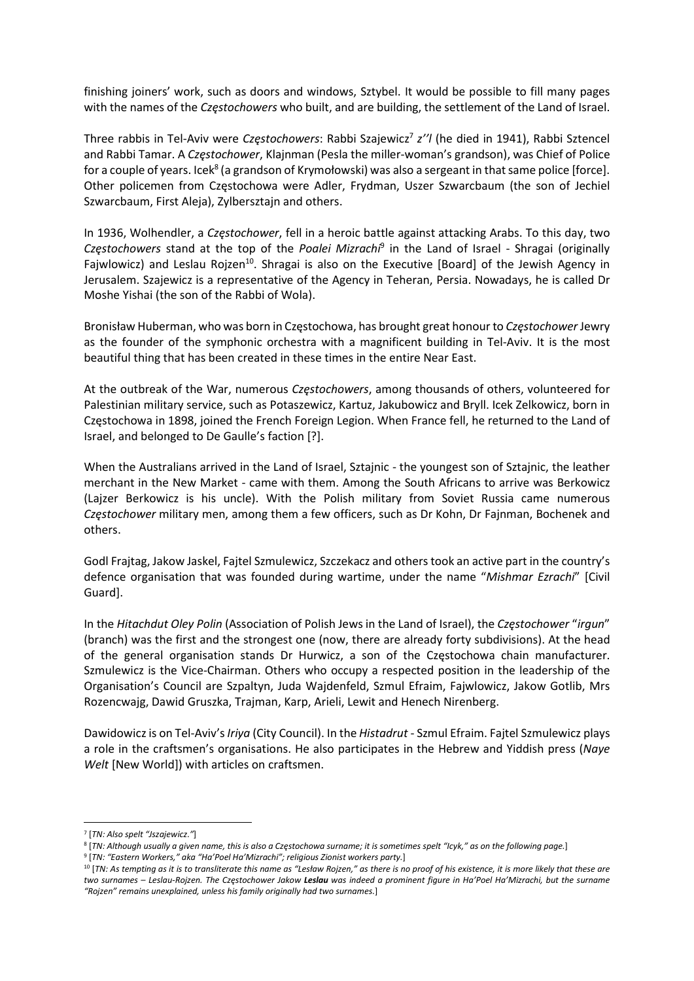finishing joiners' work, such as doors and windows, Sztybel. It would be possible to fill many pages with the names of the Częstochowers who built, and are building, the settlement of the Land of Israel.

Three rabbis in Tel-Aviv were Częstochowers: Rabbi Szajewicz<sup>7</sup> z''l (he died in 1941), Rabbi Sztencel and Rabbi Tamar. A Częstochower, Klajnman (Pesla the miller-woman's grandson), was Chief of Police for a couple of years. Icek<sup>8</sup> (a grandson of Krymołowski) was also a sergeant in that same police [force]. Other policemen from Częstochowa were Adler, Frydman, Uszer Szwarcbaum (the son of Jechiel Szwarcbaum, First Aleja), Zylbersztajn and others.

In 1936, Wolhendler, a Częstochower, fell in a heroic battle against attacking Arabs. To this day, two Częstochowers stand at the top of the Poalei Mizrachi<sup>9</sup> in the Land of Israel - Shragai (originally Fajwlowicz) and Leslau Rojzen<sup>10</sup>. Shragai is also on the Executive [Board] of the Jewish Agency in Jerusalem. Szajewicz is a representative of the Agency in Teheran, Persia. Nowadays, he is called Dr Moshe Yishai (the son of the Rabbi of Wola).

Bronisław Huberman, who was born in Częstochowa, has brought great honour to Częstochower Jewry as the founder of the symphonic orchestra with a magnificent building in Tel-Aviv. It is the most beautiful thing that has been created in these times in the entire Near East.

At the outbreak of the War, numerous Czestochowers, among thousands of others, volunteered for Palestinian military service, such as Potaszewicz, Kartuz, Jakubowicz and Bryll. Icek Zelkowicz, born in Częstochowa in 1898, joined the French Foreign Legion. When France fell, he returned to the Land of Israel, and belonged to De Gaulle's faction [?].

When the Australians arrived in the Land of Israel, Sztajnic - the youngest son of Sztajnic, the leather merchant in the New Market - came with them. Among the South Africans to arrive was Berkowicz (Lajzer Berkowicz is his uncle). With the Polish military from Soviet Russia came numerous Częstochower military men, among them a few officers, such as Dr Kohn, Dr Fajnman, Bochenek and others.

Godl Frajtag, Jakow Jaskel, Fajtel Szmulewicz, Szczekacz and others took an active part in the country's defence organisation that was founded during wartime, under the name "Mishmar Ezrachi" [Civil Guard].

In the Hitachdut Oley Polin (Association of Polish Jews in the Land of Israel), the Częstochower "irgun" (branch) was the first and the strongest one (now, there are already forty subdivisions). At the head of the general organisation stands Dr Hurwicz, a son of the Częstochowa chain manufacturer. Szmulewicz is the Vice-Chairman. Others who occupy a respected position in the leadership of the Organisation's Council are Szpaltyn, Juda Wajdenfeld, Szmul Efraim, Fajwlowicz, Jakow Gotlib, Mrs Rozencwajg, Dawid Gruszka, Trajman, Karp, Arieli, Lewit and Henech Nirenberg.

Dawidowicz is on Tel-Aviv's *Iriya* (City Council). In the *Histadrut - Szmul Efraim. Faitel Szmulewicz plays* a role in the craftsmen's organisations. He also participates in the Hebrew and Yiddish press (Naye Welt [New World]) with articles on craftsmen.

<sup>7</sup> [TN: Also spelt "Jszajewicz."]

<sup>8</sup> [TN: Although usually a given name, this is also a Częstochowa surname; it is sometimes spelt "Icyk," as on the following page.] <sup>9</sup> [TN: "Eastern Workers," aka "Ha'Poel Ha'Mizrachi"; religious Zionist workers party.]

<sup>&</sup>lt;sup>10</sup> [TN: As tempting as it is to transliterate this name as "Lesław Rojzen," as there is no proof of his existence, it is more likely that these are two surnames - Leslau-Rojzen. The Częstochower Jakow Leslau was indeed a prominent figure in Ha'Poel Ha'Mizrachi, but the surname "Rojzen" remains unexplained, unless his family originally had two surnames.]